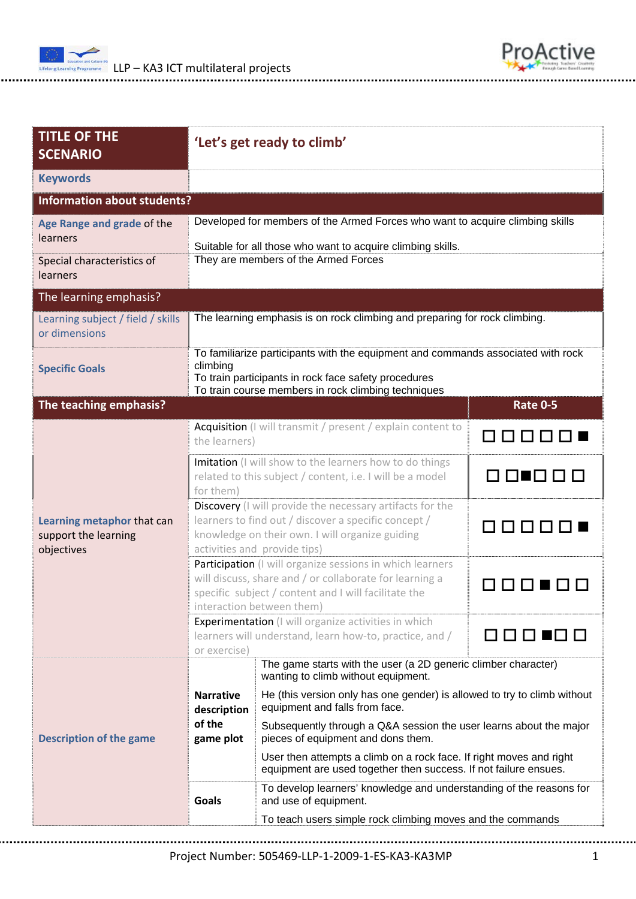



| <b>TITLE OF THE</b><br><b>SCENARIO</b>                               |                                                                                                                                                                                                                                                                            | 'Let's get ready to climb'                                                                                 |                                                            |  |       |                                                                                              |
|----------------------------------------------------------------------|----------------------------------------------------------------------------------------------------------------------------------------------------------------------------------------------------------------------------------------------------------------------------|------------------------------------------------------------------------------------------------------------|------------------------------------------------------------|--|-------|----------------------------------------------------------------------------------------------|
| <b>Keywords</b>                                                      |                                                                                                                                                                                                                                                                            |                                                                                                            |                                                            |  |       |                                                                                              |
| <b>Information about students?</b>                                   |                                                                                                                                                                                                                                                                            |                                                                                                            |                                                            |  |       |                                                                                              |
| Age Range and grade of the<br>learners<br>Special characteristics of | Developed for members of the Armed Forces who want to acquire climbing skills<br>Suitable for all those who want to acquire climbing skills.<br>They are members of the Armed Forces                                                                                       |                                                                                                            |                                                            |  |       |                                                                                              |
| learners                                                             |                                                                                                                                                                                                                                                                            |                                                                                                            |                                                            |  |       |                                                                                              |
| The learning emphasis?                                               |                                                                                                                                                                                                                                                                            |                                                                                                            |                                                            |  |       |                                                                                              |
| Learning subject / field / skills<br>or dimensions                   | The learning emphasis is on rock climbing and preparing for rock climbing.                                                                                                                                                                                                 |                                                                                                            |                                                            |  |       |                                                                                              |
| <b>Specific Goals</b>                                                | To familiarize participants with the equipment and commands associated with rock<br>climbing<br>To train participants in rock face safety procedures<br>To train course members in rock climbing techniques                                                                |                                                                                                            |                                                            |  |       |                                                                                              |
| The teaching emphasis?                                               |                                                                                                                                                                                                                                                                            |                                                                                                            | <b>Rate 0-5</b>                                            |  |       |                                                                                              |
| Learning metaphor that can<br>support the learning<br>objectives     | Acquisition (I will transmit / present / explain content to<br>the learners)                                                                                                                                                                                               |                                                                                                            | 00000                                                      |  |       |                                                                                              |
|                                                                      | Imitation (I will show to the learners how to do things<br>related to this subject / content, i.e. I will be a model<br>for them)                                                                                                                                          |                                                                                                            | 00.000                                                     |  |       |                                                                                              |
|                                                                      | Discovery (I will provide the necessary artifacts for the<br>learners to find out / discover a specific concept /<br>knowledge on their own. I will organize guiding<br>activities and provide tips)                                                                       |                                                                                                            | <b>NNN</b>                                                 |  |       |                                                                                              |
|                                                                      | Participation (I will organize sessions in which learners<br>will discuss, share and / or collaborate for learning a<br>specific subject / content and I will facilitate the<br>interaction between them)                                                                  |                                                                                                            |                                                            |  |       |                                                                                              |
|                                                                      | <b>Experimentation</b> (I will organize activities in which<br>learners will understand, learn how-to, practice, and /<br>or exercise)                                                                                                                                     |                                                                                                            |                                                            |  |       |                                                                                              |
| <b>Description of the game</b>                                       |                                                                                                                                                                                                                                                                            | The game starts with the user (a 2D generic climber character)<br>wanting to climb without equipment.      |                                                            |  |       |                                                                                              |
|                                                                      | <b>Narrative</b><br>description                                                                                                                                                                                                                                            | He (this version only has one gender) is allowed to try to climb without<br>equipment and falls from face. |                                                            |  |       |                                                                                              |
|                                                                      | of the<br>Subsequently through a Q&A session the user learns about the major<br>pieces of equipment and dons them.<br>game plot<br>User then attempts a climb on a rock face. If right moves and right<br>equipment are used together then success. If not failure ensues. |                                                                                                            |                                                            |  |       |                                                                                              |
|                                                                      |                                                                                                                                                                                                                                                                            |                                                                                                            |                                                            |  | Goals | To develop learners' knowledge and understanding of the reasons for<br>and use of equipment. |
|                                                                      |                                                                                                                                                                                                                                                                            |                                                                                                            | To teach users simple rock climbing moves and the commands |  |       |                                                                                              |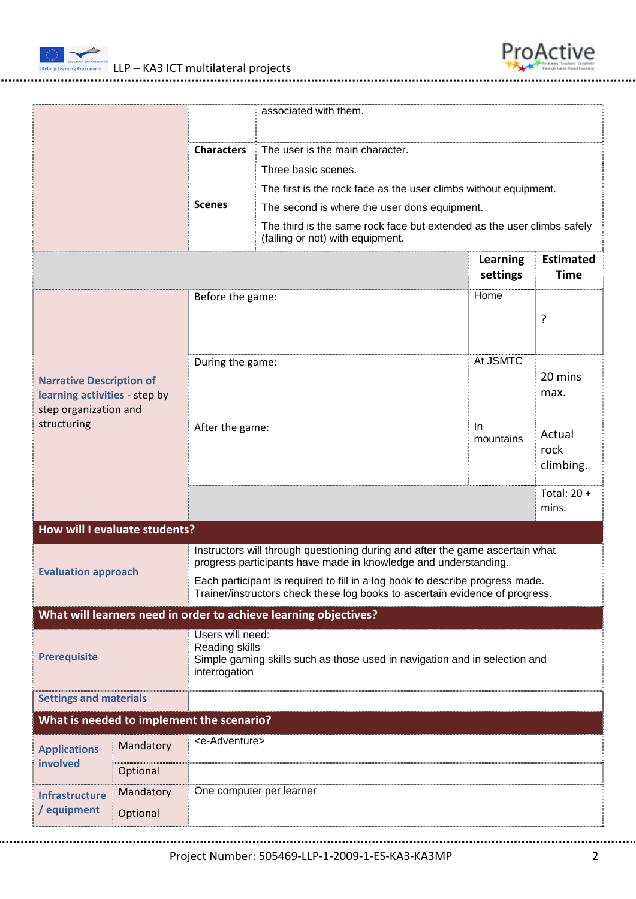



|                                                                                                          |                                           |                                                                                                                                                               | associated with them.                                                                                      |                      |                                 |  |
|----------------------------------------------------------------------------------------------------------|-------------------------------------------|---------------------------------------------------------------------------------------------------------------------------------------------------------------|------------------------------------------------------------------------------------------------------------|----------------------|---------------------------------|--|
|                                                                                                          |                                           | <b>Characters</b>                                                                                                                                             | The user is the main character.                                                                            |                      |                                 |  |
|                                                                                                          |                                           |                                                                                                                                                               | Three basic scenes.                                                                                        |                      |                                 |  |
|                                                                                                          |                                           |                                                                                                                                                               | The first is the rock face as the user climbs without equipment.                                           |                      |                                 |  |
|                                                                                                          |                                           | <b>Scenes</b>                                                                                                                                                 | The second is where the user dons equipment.                                                               |                      |                                 |  |
|                                                                                                          |                                           |                                                                                                                                                               | The third is the same rock face but extended as the user climbs safely<br>(falling or not) with equipment. |                      |                                 |  |
|                                                                                                          |                                           |                                                                                                                                                               |                                                                                                            | Learning<br>settings | <b>Estimated</b><br><b>Time</b> |  |
| <b>Narrative Description of</b><br>learning activities - step by<br>step organization and<br>structuring |                                           | Before the game:                                                                                                                                              |                                                                                                            | Home                 | ?                               |  |
|                                                                                                          |                                           | During the game:                                                                                                                                              |                                                                                                            | At JSMTC             | 20 mins<br>max.                 |  |
|                                                                                                          |                                           | $\ln$<br>After the game:<br>mountains                                                                                                                         |                                                                                                            |                      | Actual<br>rock<br>climbing.     |  |
|                                                                                                          |                                           |                                                                                                                                                               |                                                                                                            |                      | Total: $20 +$<br>mins.          |  |
| How will I evaluate students?                                                                            |                                           |                                                                                                                                                               |                                                                                                            |                      |                                 |  |
| <b>Evaluation approach</b>                                                                               |                                           | Instructors will through questioning during and after the game ascertain what<br>progress participants have made in knowledge and understanding.              |                                                                                                            |                      |                                 |  |
|                                                                                                          |                                           | Each participant is required to fill in a log book to describe progress made.<br>Trainer/instructors check these log books to ascertain evidence of progress. |                                                                                                            |                      |                                 |  |
|                                                                                                          |                                           |                                                                                                                                                               | What will learners need in order to achieve learning objectives?                                           |                      |                                 |  |
| Users will need:<br>Reading skills<br><b>Prerequisite</b><br>interrogation                               |                                           |                                                                                                                                                               | Simple gaming skills such as those used in navigation and in selection and                                 |                      |                                 |  |
| <b>Settings and materials</b>                                                                            |                                           |                                                                                                                                                               |                                                                                                            |                      |                                 |  |
|                                                                                                          | What is needed to implement the scenario? |                                                                                                                                                               |                                                                                                            |                      |                                 |  |
| <b>Applications</b><br>involved                                                                          | Mandatory                                 | <e-adventure></e-adventure>                                                                                                                                   |                                                                                                            |                      |                                 |  |
|                                                                                                          | Optional                                  |                                                                                                                                                               |                                                                                                            |                      |                                 |  |
| <b>Infrastructure</b><br>/ equipment                                                                     | Mandatory                                 | One computer per learner                                                                                                                                      |                                                                                                            |                      |                                 |  |
|                                                                                                          | Optional                                  |                                                                                                                                                               |                                                                                                            |                      |                                 |  |
|                                                                                                          |                                           |                                                                                                                                                               |                                                                                                            |                      |                                 |  |

Project Number: 505469‐LLP‐1‐2009‐1‐ES‐KA3‐KA3MP 2